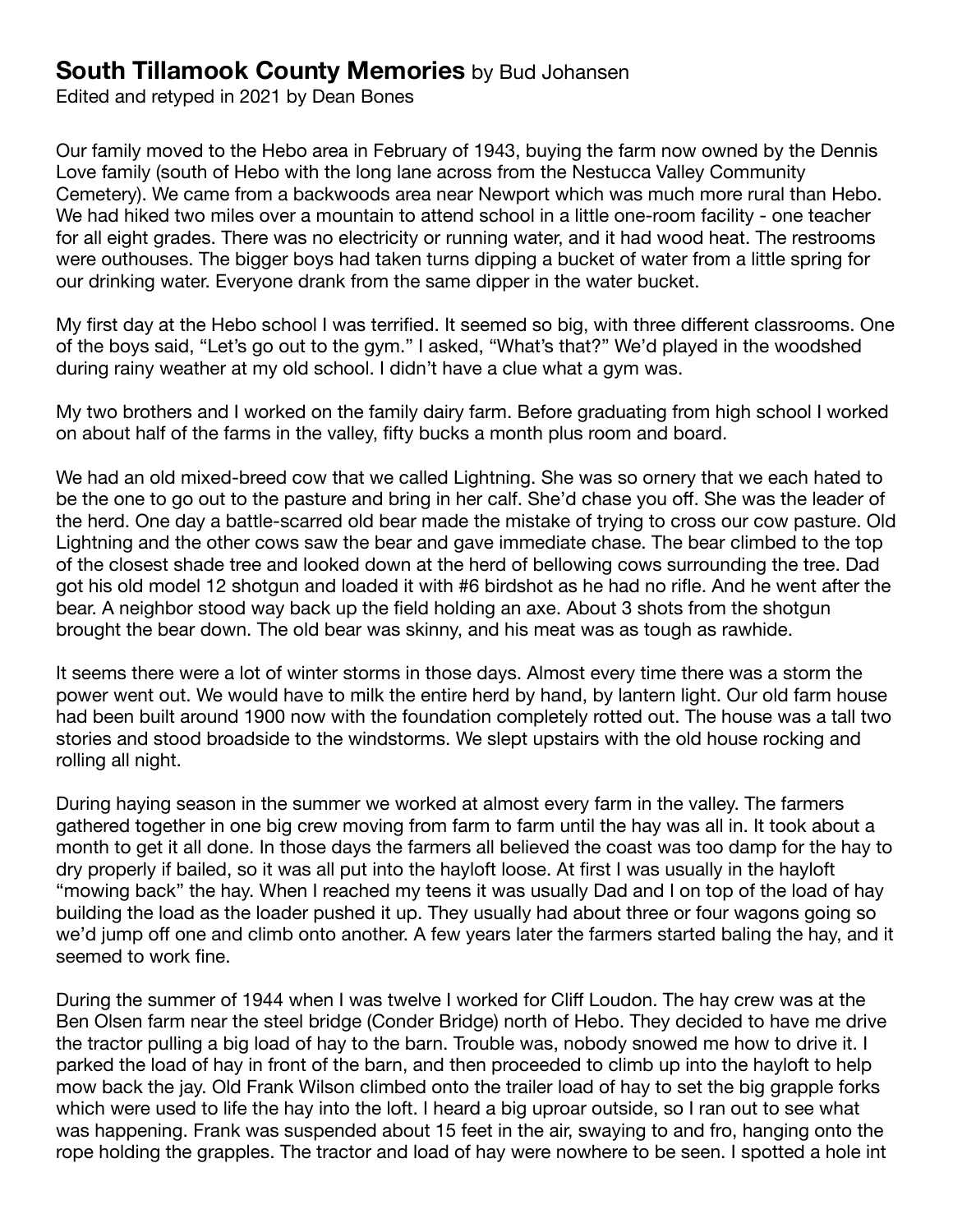Edited and retyped in 2021 by Dean Bones

Our family moved to the Hebo area in February of 1943, buying the farm now owned by the Dennis Love family (south of Hebo with the long lane across from the Nestucca Valley Community Cemetery). We came from a backwoods area near Newport which was much more rural than Hebo. We had hiked two miles over a mountain to attend school in a little one-room facility - one teacher for all eight grades. There was no electricity or running water, and it had wood heat. The restrooms were outhouses. The bigger boys had taken turns dipping a bucket of water from a little spring for our drinking water. Everyone drank from the same dipper in the water bucket.

My first day at the Hebo school I was terrified. It seemed so big, with three different classrooms. One of the boys said, "Let's go out to the gym." I asked, "What's that?" We'd played in the woodshed during rainy weather at my old school. I didn't have a clue what a gym was.

My two brothers and I worked on the family dairy farm. Before graduating from high school I worked on about half of the farms in the valley, fifty bucks a month plus room and board.

We had an old mixed-breed cow that we called Lightning. She was so ornery that we each hated to be the one to go out to the pasture and bring in her calf. She'd chase you off. She was the leader of the herd. One day a battle-scarred old bear made the mistake of trying to cross our cow pasture. Old Lightning and the other cows saw the bear and gave immediate chase. The bear climbed to the top of the closest shade tree and looked down at the herd of bellowing cows surrounding the tree. Dad got his old model 12 shotgun and loaded it with #6 birdshot as he had no rifle. And he went after the bear. A neighbor stood way back up the field holding an axe. About 3 shots from the shotgun brought the bear down. The old bear was skinny, and his meat was as tough as rawhide.

It seems there were a lot of winter storms in those days. Almost every time there was a storm the power went out. We would have to milk the entire herd by hand, by lantern light. Our old farm house had been built around 1900 now with the foundation completely rotted out. The house was a tall two stories and stood broadside to the windstorms. We slept upstairs with the old house rocking and rolling all night.

During haying season in the summer we worked at almost every farm in the valley. The farmers gathered together in one big crew moving from farm to farm until the hay was all in. It took about a month to get it all done. In those days the farmers all believed the coast was too damp for the hay to dry properly if bailed, so it was all put into the hayloft loose. At first I was usually in the hayloft "mowing back" the hay. When I reached my teens it was usually Dad and I on top of the load of hay building the load as the loader pushed it up. They usually had about three or four wagons going so we'd jump off one and climb onto another. A few years later the farmers started baling the hay, and it seemed to work fine.

During the summer of 1944 when I was twelve I worked for Cliff Loudon. The hay crew was at the Ben Olsen farm near the steel bridge (Conder Bridge) north of Hebo. They decided to have me drive the tractor pulling a big load of hay to the barn. Trouble was, nobody snowed me how to drive it. I parked the load of hay in front of the barn, and then proceeded to climb up into the hayloft to help mow back the jay. Old Frank Wilson climbed onto the trailer load of hay to set the big grapple forks which were used to life the hay into the loft. I heard a big uproar outside, so I ran out to see what was happening. Frank was suspended about 15 feet in the air, swaying to and fro, hanging onto the rope holding the grapples. The tractor and load of hay were nowhere to be seen. I spotted a hole int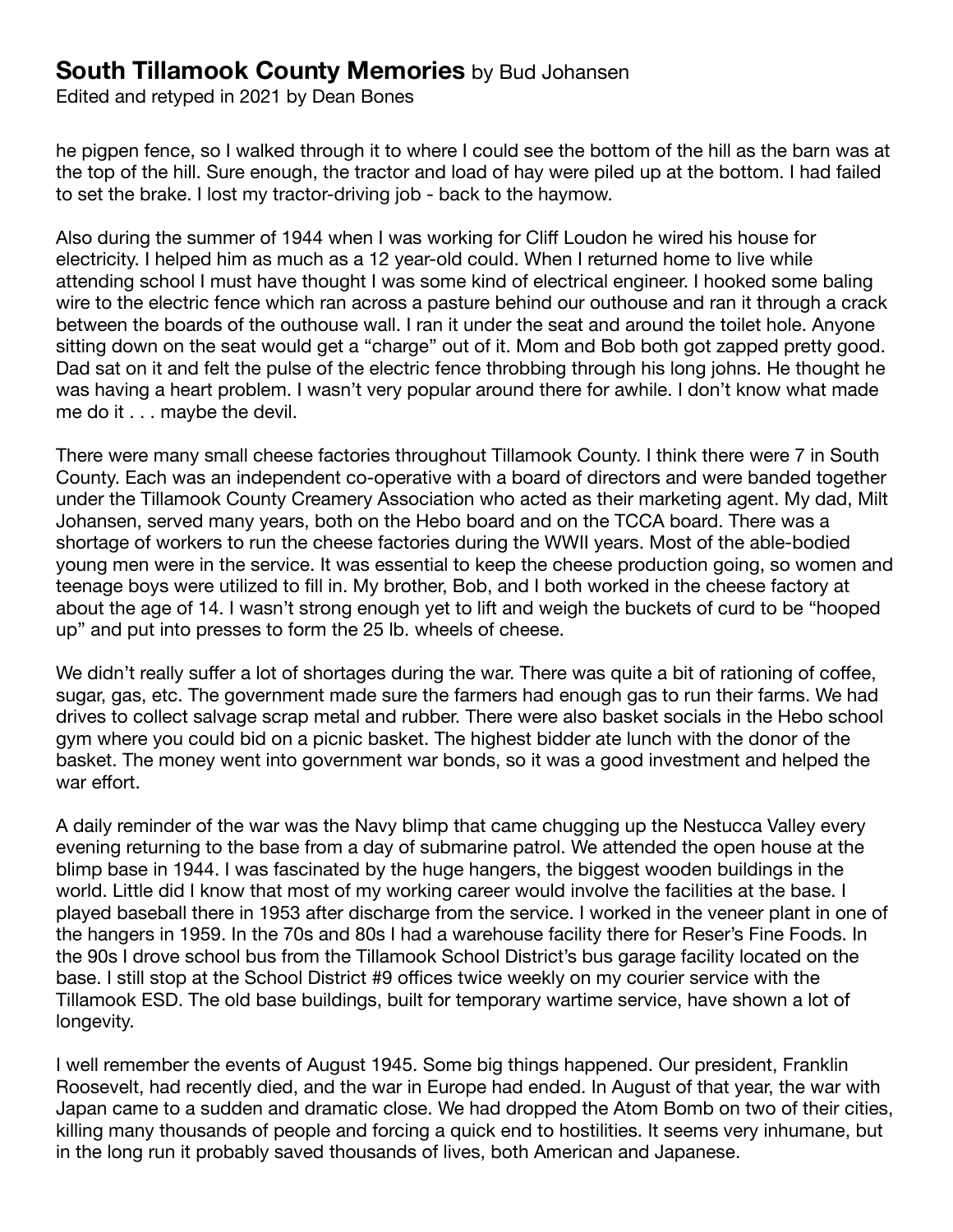Edited and retyped in 2021 by Dean Bones

he pigpen fence, so I walked through it to where I could see the bottom of the hill as the barn was at the top of the hill. Sure enough, the tractor and load of hay were piled up at the bottom. I had failed to set the brake. I lost my tractor-driving job - back to the haymow.

Also during the summer of 1944 when I was working for Cliff Loudon he wired his house for electricity. I helped him as much as a 12 year-old could. When I returned home to live while attending school I must have thought I was some kind of electrical engineer. I hooked some baling wire to the electric fence which ran across a pasture behind our outhouse and ran it through a crack between the boards of the outhouse wall. I ran it under the seat and around the toilet hole. Anyone sitting down on the seat would get a "charge" out of it. Mom and Bob both got zapped pretty good. Dad sat on it and felt the pulse of the electric fence throbbing through his long johns. He thought he was having a heart problem. I wasn't very popular around there for awhile. I don't know what made me do it . . . maybe the devil.

There were many small cheese factories throughout Tillamook County. I think there were 7 in South County. Each was an independent co-operative with a board of directors and were banded together under the Tillamook County Creamery Association who acted as their marketing agent. My dad, Milt Johansen, served many years, both on the Hebo board and on the TCCA board. There was a shortage of workers to run the cheese factories during the WWII years. Most of the able-bodied young men were in the service. It was essential to keep the cheese production going, so women and teenage boys were utilized to fill in. My brother, Bob, and I both worked in the cheese factory at about the age of 14. I wasn't strong enough yet to lift and weigh the buckets of curd to be "hooped up" and put into presses to form the 25 lb. wheels of cheese.

We didn't really suffer a lot of shortages during the war. There was quite a bit of rationing of coffee, sugar, gas, etc. The government made sure the farmers had enough gas to run their farms. We had drives to collect salvage scrap metal and rubber. There were also basket socials in the Hebo school gym where you could bid on a picnic basket. The highest bidder ate lunch with the donor of the basket. The money went into government war bonds, so it was a good investment and helped the war effort.

A daily reminder of the war was the Navy blimp that came chugging up the Nestucca Valley every evening returning to the base from a day of submarine patrol. We attended the open house at the blimp base in 1944. I was fascinated by the huge hangers, the biggest wooden buildings in the world. Little did I know that most of my working career would involve the facilities at the base. I played baseball there in 1953 after discharge from the service. I worked in the veneer plant in one of the hangers in 1959. In the 70s and 80s I had a warehouse facility there for Reser's Fine Foods. In the 90s I drove school bus from the Tillamook School District's bus garage facility located on the base. I still stop at the School District #9 offices twice weekly on my courier service with the Tillamook ESD. The old base buildings, built for temporary wartime service, have shown a lot of longevity.

I well remember the events of August 1945. Some big things happened. Our president, Franklin Roosevelt, had recently died, and the war in Europe had ended. In August of that year, the war with Japan came to a sudden and dramatic close. We had dropped the Atom Bomb on two of their cities, killing many thousands of people and forcing a quick end to hostilities. It seems very inhumane, but in the long run it probably saved thousands of lives, both American and Japanese.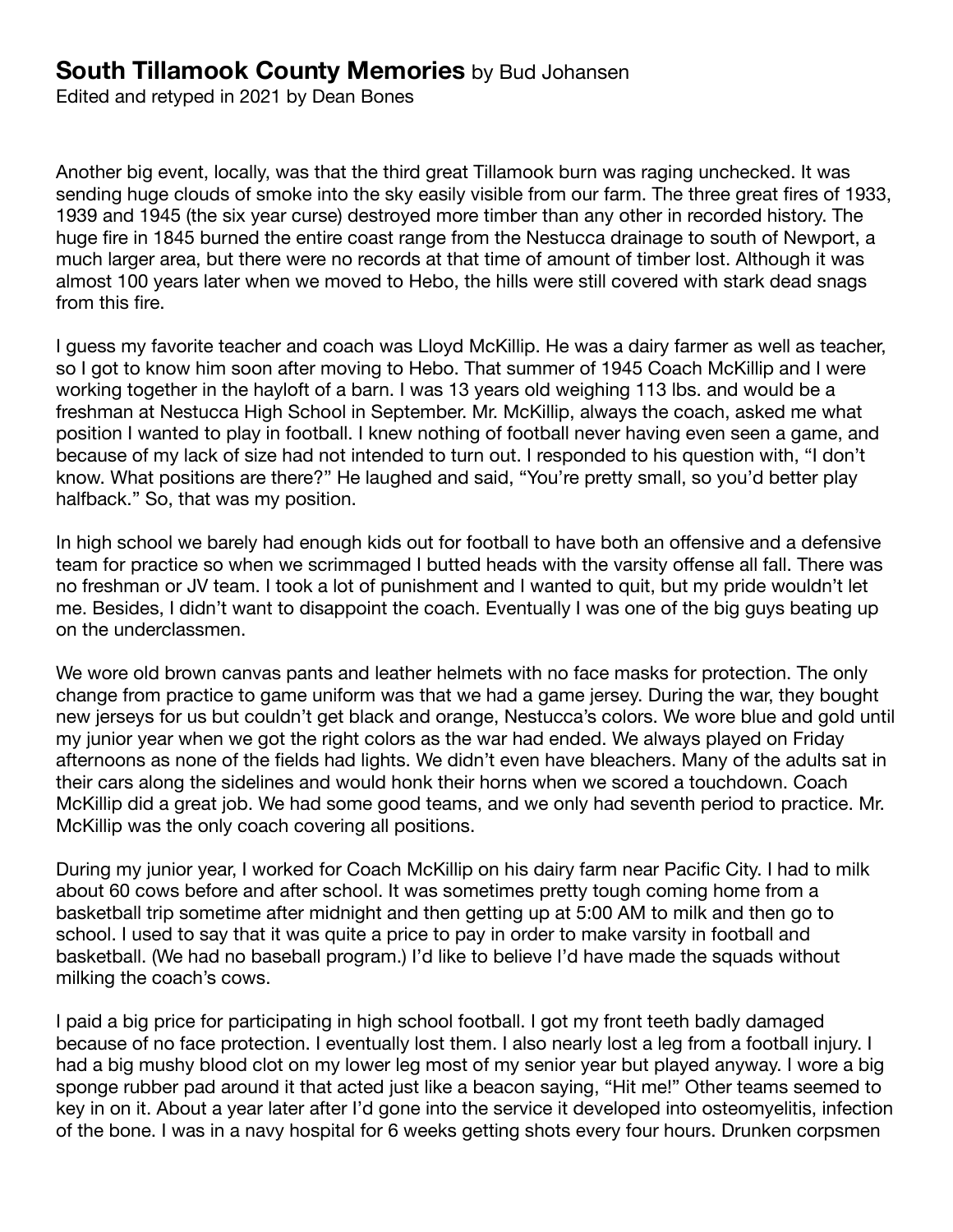Edited and retyped in 2021 by Dean Bones

Another big event, locally, was that the third great Tillamook burn was raging unchecked. It was sending huge clouds of smoke into the sky easily visible from our farm. The three great fires of 1933, 1939 and 1945 (the six year curse) destroyed more timber than any other in recorded history. The huge fire in 1845 burned the entire coast range from the Nestucca drainage to south of Newport, a much larger area, but there were no records at that time of amount of timber lost. Although it was almost 100 years later when we moved to Hebo, the hills were still covered with stark dead snags from this fire.

I guess my favorite teacher and coach was Lloyd McKillip. He was a dairy farmer as well as teacher, so I got to know him soon after moving to Hebo. That summer of 1945 Coach McKillip and I were working together in the hayloft of a barn. I was 13 years old weighing 113 lbs. and would be a freshman at Nestucca High School in September. Mr. McKillip, always the coach, asked me what position I wanted to play in football. I knew nothing of football never having even seen a game, and because of my lack of size had not intended to turn out. I responded to his question with, "I don't know. What positions are there?" He laughed and said, "You're pretty small, so you'd better play halfback." So, that was my position.

In high school we barely had enough kids out for football to have both an offensive and a defensive team for practice so when we scrimmaged I butted heads with the varsity offense all fall. There was no freshman or JV team. I took a lot of punishment and I wanted to quit, but my pride wouldn't let me. Besides, I didn't want to disappoint the coach. Eventually I was one of the big guys beating up on the underclassmen.

We wore old brown canvas pants and leather helmets with no face masks for protection. The only change from practice to game uniform was that we had a game jersey. During the war, they bought new jerseys for us but couldn't get black and orange, Nestucca's colors. We wore blue and gold until my junior year when we got the right colors as the war had ended. We always played on Friday afternoons as none of the fields had lights. We didn't even have bleachers. Many of the adults sat in their cars along the sidelines and would honk their horns when we scored a touchdown. Coach McKillip did a great job. We had some good teams, and we only had seventh period to practice. Mr. McKillip was the only coach covering all positions.

During my junior year, I worked for Coach McKillip on his dairy farm near Pacific City. I had to milk about 60 cows before and after school. It was sometimes pretty tough coming home from a basketball trip sometime after midnight and then getting up at 5:00 AM to milk and then go to school. I used to say that it was quite a price to pay in order to make varsity in football and basketball. (We had no baseball program.) I'd like to believe I'd have made the squads without milking the coach's cows.

I paid a big price for participating in high school football. I got my front teeth badly damaged because of no face protection. I eventually lost them. I also nearly lost a leg from a football injury. I had a big mushy blood clot on my lower leg most of my senior year but played anyway. I wore a big sponge rubber pad around it that acted just like a beacon saying, "Hit me!" Other teams seemed to key in on it. About a year later after I'd gone into the service it developed into osteomyelitis, infection of the bone. I was in a navy hospital for 6 weeks getting shots every four hours. Drunken corpsmen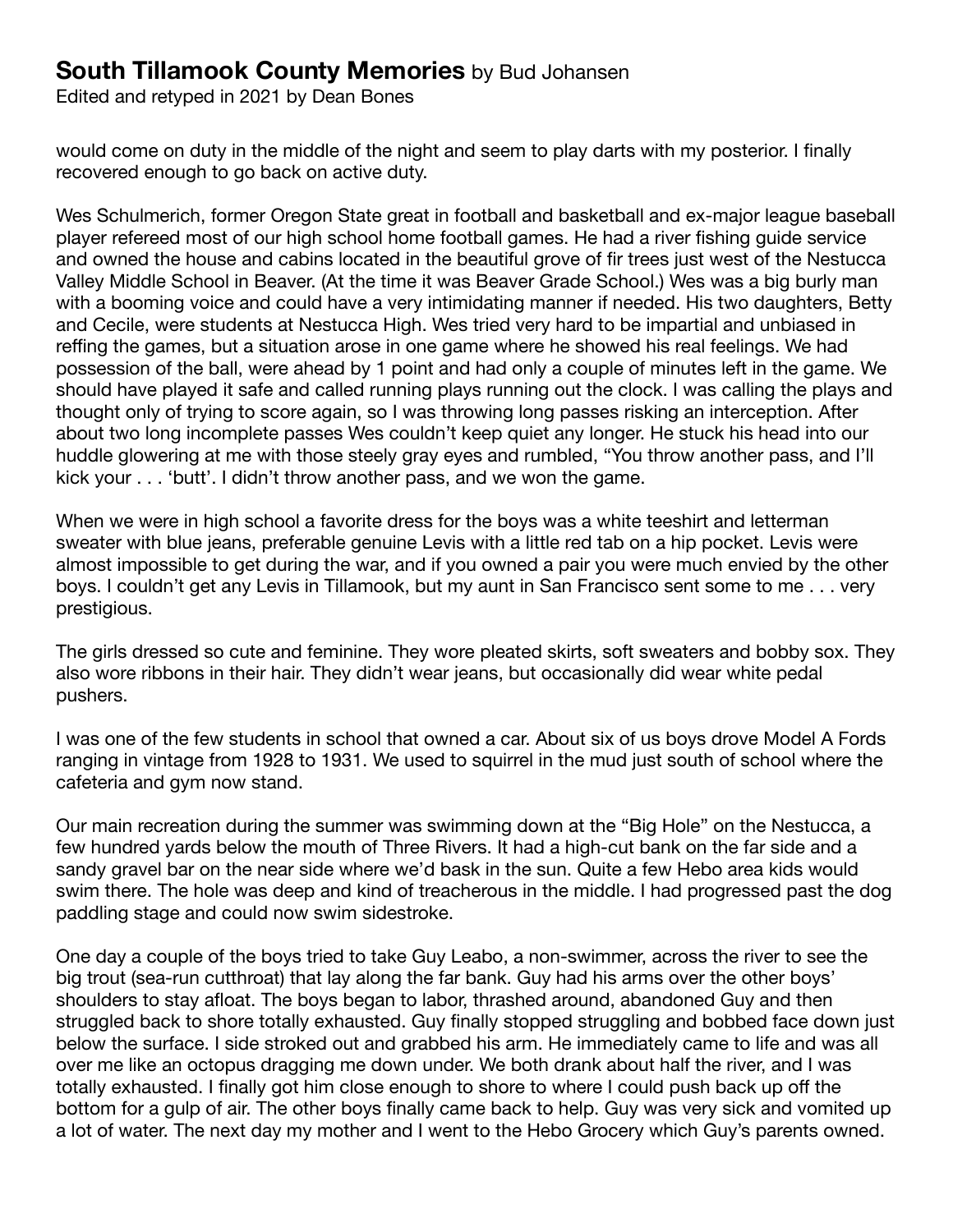Edited and retyped in 2021 by Dean Bones

would come on duty in the middle of the night and seem to play darts with my posterior. I finally recovered enough to go back on active duty.

Wes Schulmerich, former Oregon State great in football and basketball and ex-major league baseball player refereed most of our high school home football games. He had a river fishing guide service and owned the house and cabins located in the beautiful grove of fir trees just west of the Nestucca Valley Middle School in Beaver. (At the time it was Beaver Grade School.) Wes was a big burly man with a booming voice and could have a very intimidating manner if needed. His two daughters, Betty and Cecile, were students at Nestucca High. Wes tried very hard to be impartial and unbiased in reffing the games, but a situation arose in one game where he showed his real feelings. We had possession of the ball, were ahead by 1 point and had only a couple of minutes left in the game. We should have played it safe and called running plays running out the clock. I was calling the plays and thought only of trying to score again, so I was throwing long passes risking an interception. After about two long incomplete passes Wes couldn't keep quiet any longer. He stuck his head into our huddle glowering at me with those steely gray eyes and rumbled, "You throw another pass, and I'll kick your . . . 'butt'. I didn't throw another pass, and we won the game.

When we were in high school a favorite dress for the boys was a white teeshirt and letterman sweater with blue jeans, preferable genuine Levis with a little red tab on a hip pocket. Levis were almost impossible to get during the war, and if you owned a pair you were much envied by the other boys. I couldn't get any Levis in Tillamook, but my aunt in San Francisco sent some to me . . . very prestigious.

The girls dressed so cute and feminine. They wore pleated skirts, soft sweaters and bobby sox. They also wore ribbons in their hair. They didn't wear jeans, but occasionally did wear white pedal pushers.

I was one of the few students in school that owned a car. About six of us boys drove Model A Fords ranging in vintage from 1928 to 1931. We used to squirrel in the mud just south of school where the cafeteria and gym now stand.

Our main recreation during the summer was swimming down at the "Big Hole" on the Nestucca, a few hundred yards below the mouth of Three Rivers. It had a high-cut bank on the far side and a sandy gravel bar on the near side where we'd bask in the sun. Quite a few Hebo area kids would swim there. The hole was deep and kind of treacherous in the middle. I had progressed past the dog paddling stage and could now swim sidestroke.

One day a couple of the boys tried to take Guy Leabo, a non-swimmer, across the river to see the big trout (sea-run cutthroat) that lay along the far bank. Guy had his arms over the other boys' shoulders to stay afloat. The boys began to labor, thrashed around, abandoned Guy and then struggled back to shore totally exhausted. Guy finally stopped struggling and bobbed face down just below the surface. I side stroked out and grabbed his arm. He immediately came to life and was all over me like an octopus dragging me down under. We both drank about half the river, and I was totally exhausted. I finally got him close enough to shore to where I could push back up off the bottom for a gulp of air. The other boys finally came back to help. Guy was very sick and vomited up a lot of water. The next day my mother and I went to the Hebo Grocery which Guy's parents owned.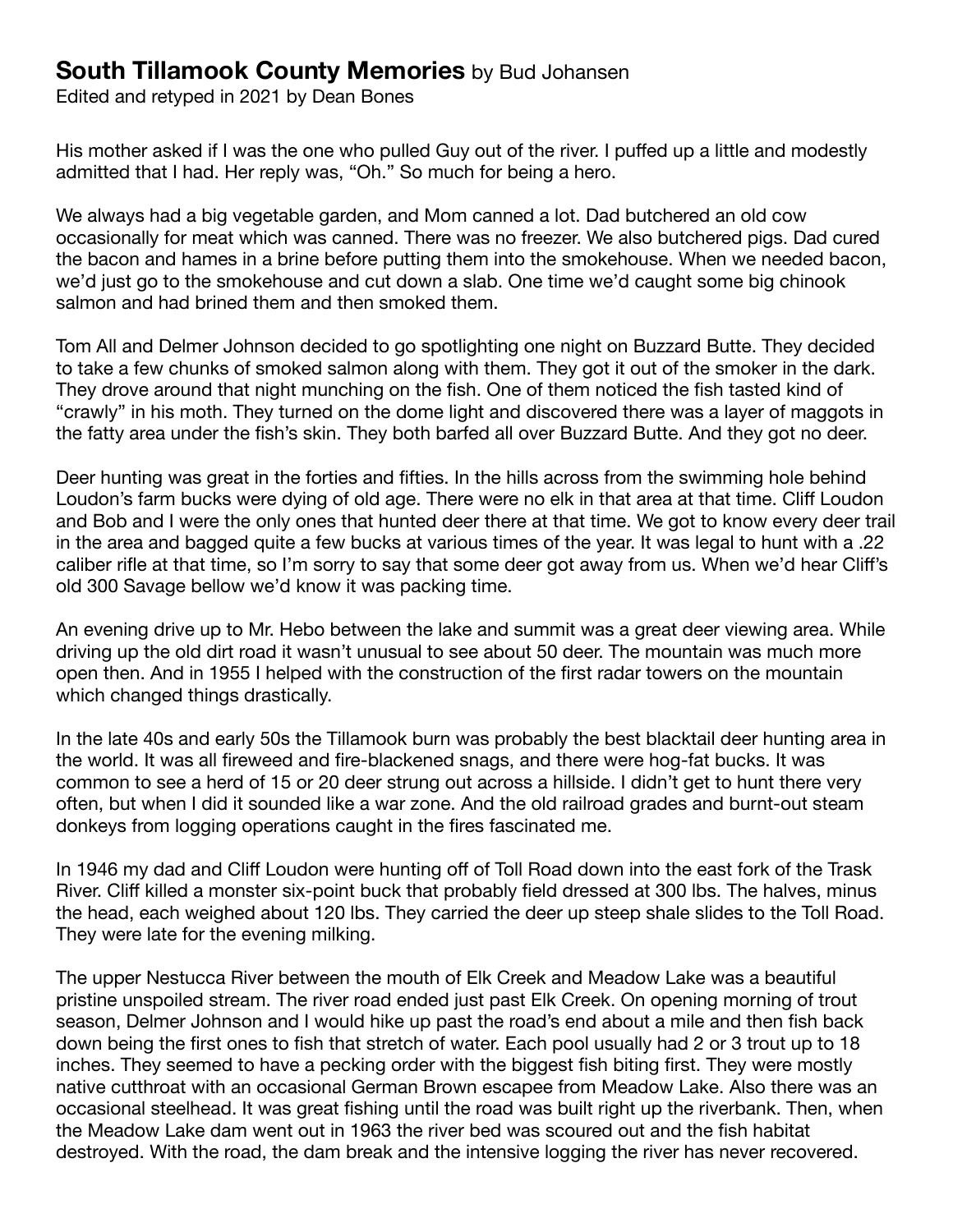Edited and retyped in 2021 by Dean Bones

His mother asked if I was the one who pulled Guy out of the river. I puffed up a little and modestly admitted that I had. Her reply was, "Oh." So much for being a hero.

We always had a big vegetable garden, and Mom canned a lot. Dad butchered an old cow occasionally for meat which was canned. There was no freezer. We also butchered pigs. Dad cured the bacon and hames in a brine before putting them into the smokehouse. When we needed bacon, we'd just go to the smokehouse and cut down a slab. One time we'd caught some big chinook salmon and had brined them and then smoked them.

Tom All and Delmer Johnson decided to go spotlighting one night on Buzzard Butte. They decided to take a few chunks of smoked salmon along with them. They got it out of the smoker in the dark. They drove around that night munching on the fish. One of them noticed the fish tasted kind of "crawly" in his moth. They turned on the dome light and discovered there was a layer of maggots in the fatty area under the fish's skin. They both barfed all over Buzzard Butte. And they got no deer.

Deer hunting was great in the forties and fifties. In the hills across from the swimming hole behind Loudon's farm bucks were dying of old age. There were no elk in that area at that time. Cliff Loudon and Bob and I were the only ones that hunted deer there at that time. We got to know every deer trail in the area and bagged quite a few bucks at various times of the year. It was legal to hunt with a .22 caliber rifle at that time, so I'm sorry to say that some deer got away from us. When we'd hear Cliff's old 300 Savage bellow we'd know it was packing time.

An evening drive up to Mr. Hebo between the lake and summit was a great deer viewing area. While driving up the old dirt road it wasn't unusual to see about 50 deer. The mountain was much more open then. And in 1955 I helped with the construction of the first radar towers on the mountain which changed things drastically.

In the late 40s and early 50s the Tillamook burn was probably the best blacktail deer hunting area in the world. It was all fireweed and fire-blackened snags, and there were hog-fat bucks. It was common to see a herd of 15 or 20 deer strung out across a hillside. I didn't get to hunt there very often, but when I did it sounded like a war zone. And the old railroad grades and burnt-out steam donkeys from logging operations caught in the fires fascinated me.

In 1946 my dad and Cliff Loudon were hunting off of Toll Road down into the east fork of the Trask River. Cliff killed a monster six-point buck that probably field dressed at 300 lbs. The halves, minus the head, each weighed about 120 lbs. They carried the deer up steep shale slides to the Toll Road. They were late for the evening milking.

The upper Nestucca River between the mouth of Elk Creek and Meadow Lake was a beautiful pristine unspoiled stream. The river road ended just past Elk Creek. On opening morning of trout season, Delmer Johnson and I would hike up past the road's end about a mile and then fish back down being the first ones to fish that stretch of water. Each pool usually had 2 or 3 trout up to 18 inches. They seemed to have a pecking order with the biggest fish biting first. They were mostly native cutthroat with an occasional German Brown escapee from Meadow Lake. Also there was an occasional steelhead. It was great fishing until the road was built right up the riverbank. Then, when the Meadow Lake dam went out in 1963 the river bed was scoured out and the fish habitat destroyed. With the road, the dam break and the intensive logging the river has never recovered.